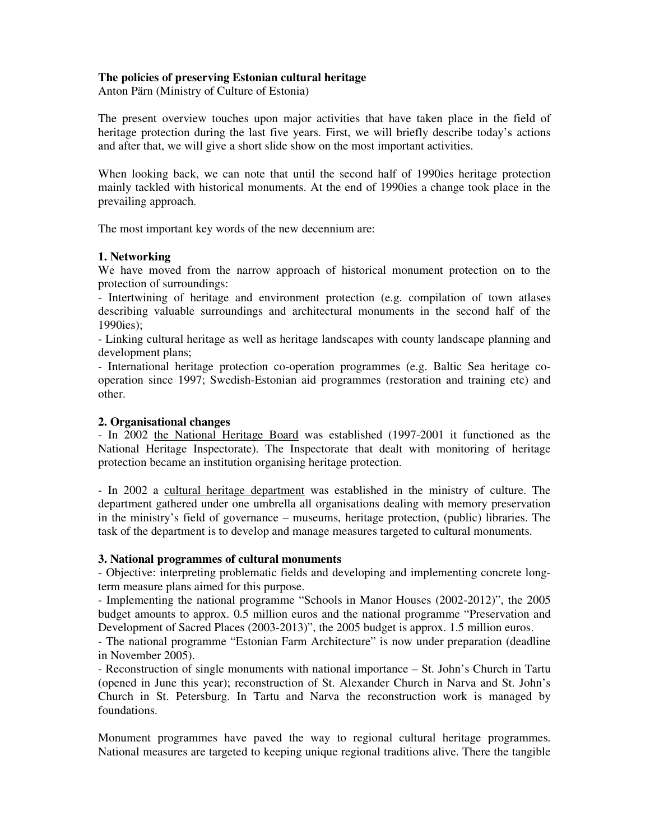## **The policies of preserving Estonian cultural heritage**

Anton Pärn (Ministry of Culture of Estonia)

The present overview touches upon major activities that have taken place in the field of heritage protection during the last five years. First, we will briefly describe today's actions and after that, we will give a short slide show on the most important activities.

When looking back, we can note that until the second half of 1990ies heritage protection mainly tackled with historical monuments. At the end of 1990ies a change took place in the prevailing approach.

The most important key words of the new decennium are:

#### **1. Networking**

We have moved from the narrow approach of historical monument protection on to the protection of surroundings:

- Intertwining of heritage and environment protection (e.g. compilation of town atlases describing valuable surroundings and architectural monuments in the second half of the 1990ies);

- Linking cultural heritage as well as heritage landscapes with county landscape planning and development plans;

- International heritage protection co-operation programmes (e.g. Baltic Sea heritage cooperation since 1997; Swedish-Estonian aid programmes (restoration and training etc) and other.

#### **2. Organisational changes**

- In 2002 the National Heritage Board was established (1997-2001 it functioned as the National Heritage Inspectorate). The Inspectorate that dealt with monitoring of heritage protection became an institution organising heritage protection.

- In 2002 a cultural heritage department was established in the ministry of culture. The department gathered under one umbrella all organisations dealing with memory preservation in the ministry's field of governance – museums, heritage protection, (public) libraries. The task of the department is to develop and manage measures targeted to cultural monuments.

## **3. National programmes of cultural monuments**

- Objective: interpreting problematic fields and developing and implementing concrete longterm measure plans aimed for this purpose.

- Implementing the national programme "Schools in Manor Houses (2002-2012)", the 2005 budget amounts to approx. 0.5 million euros and the national programme "Preservation and Development of Sacred Places (2003-2013)", the 2005 budget is approx. 1.5 million euros.

- The national programme "Estonian Farm Architecture" is now under preparation (deadline in November 2005).

- Reconstruction of single monuments with national importance – St. John's Church in Tartu (opened in June this year); reconstruction of St. Alexander Church in Narva and St. John's Church in St. Petersburg. In Tartu and Narva the reconstruction work is managed by foundations.

Monument programmes have paved the way to regional cultural heritage programmes. National measures are targeted to keeping unique regional traditions alive. There the tangible